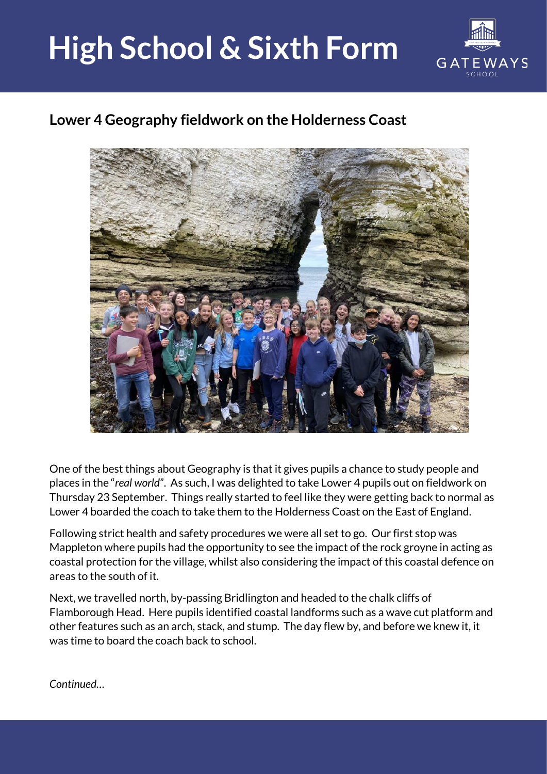## **High School & Sixth Form**



## **Lower 4 Geography fieldwork on the Holderness Coast**



One of the best things about Geography is that it gives pupils a chance to study people and places in the "*real world*". As such, I was delighted to take Lower 4 pupils out on fieldwork on Thursday 23 September. Things really started to feel like they were getting back to normal as Lower 4 boarded the coach to take them to the Holderness Coast on the East of England.

Following strict health and safety procedures we were all set to go. Our first stop was Mappleton where pupils had the opportunity to see the impact of the rock groyne in acting as coastal protection for the village, whilst also considering the impact of this coastal defence on areas to the south of it.

Next, we travelled north, by-passing Bridlington and headed to the chalk cliffs of Flamborough Head. Here pupils identified coastal landforms such as a wave cut platform and other features such as an arch, stack, and stump. The day flew by, and before we knew it, it was time to board the coach back to school.

*Continued…*